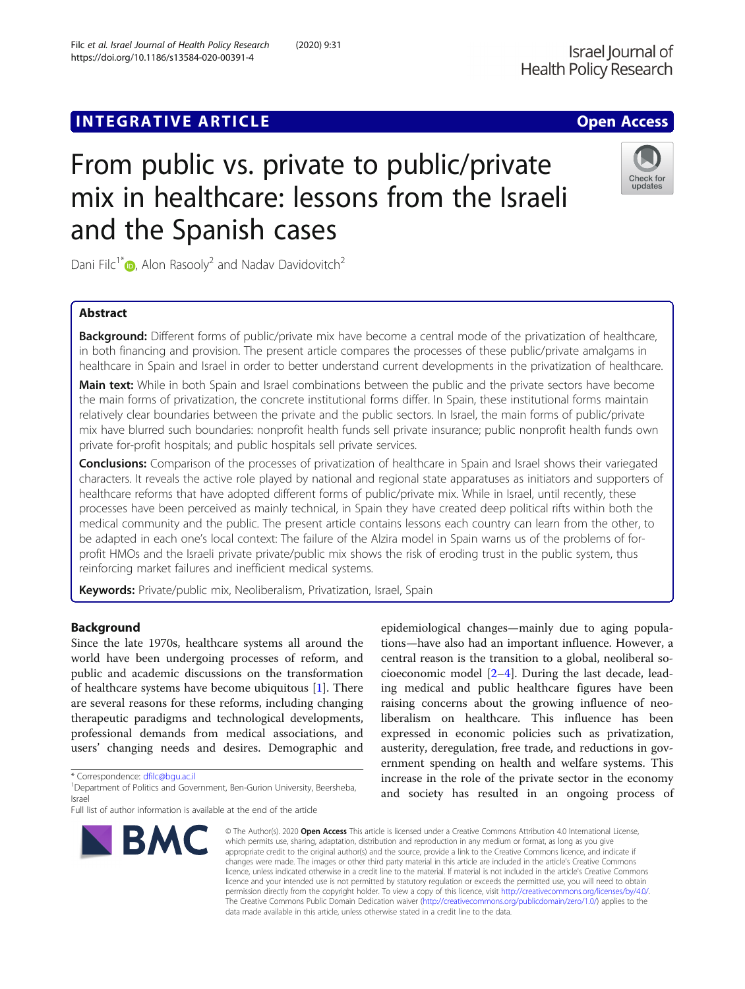https://doi.org/10.1186/s13584-020-00391-4

## Check for updates

# From public vs. private to public/private mix in healthcare: lessons from the Israeli and the Spanish cases

Dani Filc<sup>1[\\*](http://orcid.org/0000-0001-9100-1006)</sup>  $\bullet$ , Alon Rasooly<sup>2</sup> and Nadav Davidovitch<sup>2</sup>

### Abstract

Background: Different forms of public/private mix have become a central mode of the privatization of healthcare, in both financing and provision. The present article compares the processes of these public/private amalgams in healthcare in Spain and Israel in order to better understand current developments in the privatization of healthcare.

Main text: While in both Spain and Israel combinations between the public and the private sectors have become the main forms of privatization, the concrete institutional forms differ. In Spain, these institutional forms maintain relatively clear boundaries between the private and the public sectors. In Israel, the main forms of public/private mix have blurred such boundaries: nonprofit health funds sell private insurance; public nonprofit health funds own private for-profit hospitals; and public hospitals sell private services.

Conclusions: Comparison of the processes of privatization of healthcare in Spain and Israel shows their variegated characters. It reveals the active role played by national and regional state apparatuses as initiators and supporters of healthcare reforms that have adopted different forms of public/private mix. While in Israel, until recently, these processes have been perceived as mainly technical, in Spain they have created deep political rifts within both the medical community and the public. The present article contains lessons each country can learn from the other, to be adapted in each one's local context: The failure of the Alzira model in Spain warns us of the problems of forprofit HMOs and the Israeli private private/public mix shows the risk of eroding trust in the public system, thus reinforcing market failures and inefficient medical systems.

Keywords: Private/public mix, Neoliberalism, Privatization, Israel, Spain

### Background

Since the late 1970s, healthcare systems all around the world have been undergoing processes of reform, and public and academic discussions on the transformation of healthcare systems have become ubiquitous [\[1\]](#page-11-0). There are several reasons for these reforms, including changing therapeutic paradigms and technological developments, professional demands from medical associations, and users' changing needs and desires. Demographic and

\* Correspondence: [dfilc@bgu.ac.il](mailto:dfilc@bgu.ac.il) <sup>1</sup>

<sup>1</sup>Department of Politics and Government, Ben-Gurion University, Beersheba, Israel

Full list of author information is available at the end of the article



epidemiological changes—mainly due to aging populations—have also had an important influence. However, a central reason is the transition to a global, neoliberal socioeconomic model [[2](#page-11-0)–[4](#page-11-0)]. During the last decade, leading medical and public healthcare figures have been raising concerns about the growing influence of neoliberalism on healthcare. This influence has been expressed in economic policies such as privatization, austerity, deregulation, free trade, and reductions in government spending on health and welfare systems. This increase in the role of the private sector in the economy and society has resulted in an ongoing process of

© The Author(s), 2020 **Open Access** This article is licensed under a Creative Commons Attribution 4.0 International License, which permits use, sharing, adaptation, distribution and reproduction in any medium or format, as long as you give appropriate credit to the original author(s) and the source, provide a link to the Creative Commons licence, and indicate if changes were made. The images or other third party material in this article are included in the article's Creative Commons licence, unless indicated otherwise in a credit line to the material. If material is not included in the article's Creative Commons licence and your intended use is not permitted by statutory regulation or exceeds the permitted use, you will need to obtain permission directly from the copyright holder. To view a copy of this licence, visit [http://creativecommons.org/licenses/by/4.0/.](http://creativecommons.org/licenses/by/4.0/) The Creative Commons Public Domain Dedication waiver [\(http://creativecommons.org/publicdomain/zero/1.0/](http://creativecommons.org/publicdomain/zero/1.0/)) applies to the data made available in this article, unless otherwise stated in a credit line to the data.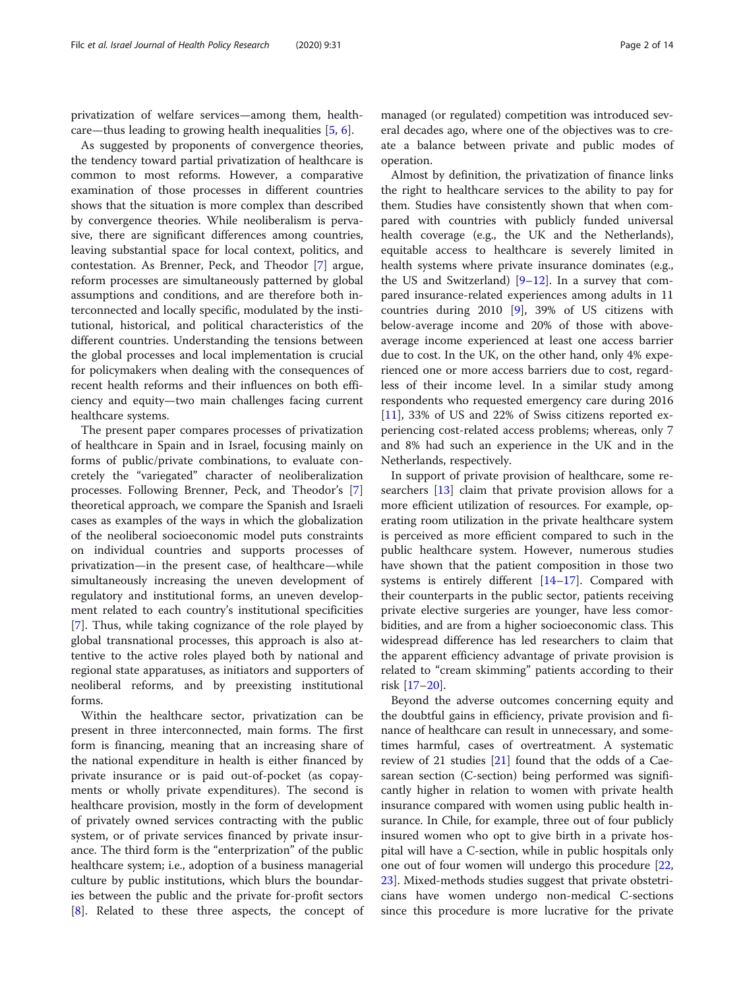privatization of welfare services—among them, healthcare—thus leading to growing health inequalities [[5,](#page-11-0) [6\]](#page-11-0).

As suggested by proponents of convergence theories, the tendency toward partial privatization of healthcare is common to most reforms. However, a comparative examination of those processes in different countries shows that the situation is more complex than described by convergence theories. While neoliberalism is pervasive, there are significant differences among countries, leaving substantial space for local context, politics, and contestation. As Brenner, Peck, and Theodor [[7\]](#page-11-0) argue, reform processes are simultaneously patterned by global assumptions and conditions, and are therefore both interconnected and locally specific, modulated by the institutional, historical, and political characteristics of the different countries. Understanding the tensions between the global processes and local implementation is crucial for policymakers when dealing with the consequences of recent health reforms and their influences on both efficiency and equity—two main challenges facing current healthcare systems.

The present paper compares processes of privatization of healthcare in Spain and in Israel, focusing mainly on forms of public/private combinations, to evaluate concretely the "variegated" character of neoliberalization processes. Following Brenner, Peck, and Theodor's [\[7](#page-11-0)] theoretical approach, we compare the Spanish and Israeli cases as examples of the ways in which the globalization of the neoliberal socioeconomic model puts constraints on individual countries and supports processes of privatization—in the present case, of healthcare—while simultaneously increasing the uneven development of regulatory and institutional forms, an uneven development related to each country's institutional specificities [[7\]](#page-11-0). Thus, while taking cognizance of the role played by global transnational processes, this approach is also attentive to the active roles played both by national and regional state apparatuses, as initiators and supporters of neoliberal reforms, and by preexisting institutional forms.

Within the healthcare sector, privatization can be present in three interconnected, main forms. The first form is financing, meaning that an increasing share of the national expenditure in health is either financed by private insurance or is paid out-of-pocket (as copayments or wholly private expenditures). The second is healthcare provision, mostly in the form of development of privately owned services contracting with the public system, or of private services financed by private insurance. The third form is the "enterprization" of the public healthcare system; i.e., adoption of a business managerial culture by public institutions, which blurs the boundaries between the public and the private for-profit sectors [[8\]](#page-11-0). Related to these three aspects, the concept of

managed (or regulated) competition was introduced several decades ago, where one of the objectives was to create a balance between private and public modes of operation.

Almost by definition, the privatization of finance links the right to healthcare services to the ability to pay for them. Studies have consistently shown that when compared with countries with publicly funded universal health coverage (e.g., the UK and the Netherlands), equitable access to healthcare is severely limited in health systems where private insurance dominates (e.g., the US and Switzerland)  $[9-12]$  $[9-12]$  $[9-12]$ . In a survey that compared insurance-related experiences among adults in 11 countries during 2010 [\[9](#page-11-0)], 39% of US citizens with below-average income and 20% of those with aboveaverage income experienced at least one access barrier due to cost. In the UK, on the other hand, only 4% experienced one or more access barriers due to cost, regardless of their income level. In a similar study among respondents who requested emergency care during 2016 [[11\]](#page-11-0), 33% of US and 22% of Swiss citizens reported experiencing cost-related access problems; whereas, only 7 and 8% had such an experience in the UK and in the Netherlands, respectively.

In support of private provision of healthcare, some researchers [\[13\]](#page-11-0) claim that private provision allows for a more efficient utilization of resources. For example, operating room utilization in the private healthcare system is perceived as more efficient compared to such in the public healthcare system. However, numerous studies have shown that the patient composition in those two systems is entirely different [[14](#page-11-0)–[17\]](#page-12-0). Compared with their counterparts in the public sector, patients receiving private elective surgeries are younger, have less comorbidities, and are from a higher socioeconomic class. This widespread difference has led researchers to claim that the apparent efficiency advantage of private provision is related to "cream skimming" patients according to their risk [[17](#page-12-0)–[20](#page-12-0)].

Beyond the adverse outcomes concerning equity and the doubtful gains in efficiency, private provision and finance of healthcare can result in unnecessary, and sometimes harmful, cases of overtreatment. A systematic review of 21 studies [\[21](#page-12-0)] found that the odds of a Caesarean section (C-section) being performed was significantly higher in relation to women with private health insurance compared with women using public health insurance. In Chile, for example, three out of four publicly insured women who opt to give birth in a private hospital will have a C-section, while in public hospitals only one out of four women will undergo this procedure [[22](#page-12-0), [23\]](#page-12-0). Mixed-methods studies suggest that private obstetricians have women undergo non-medical C-sections since this procedure is more lucrative for the private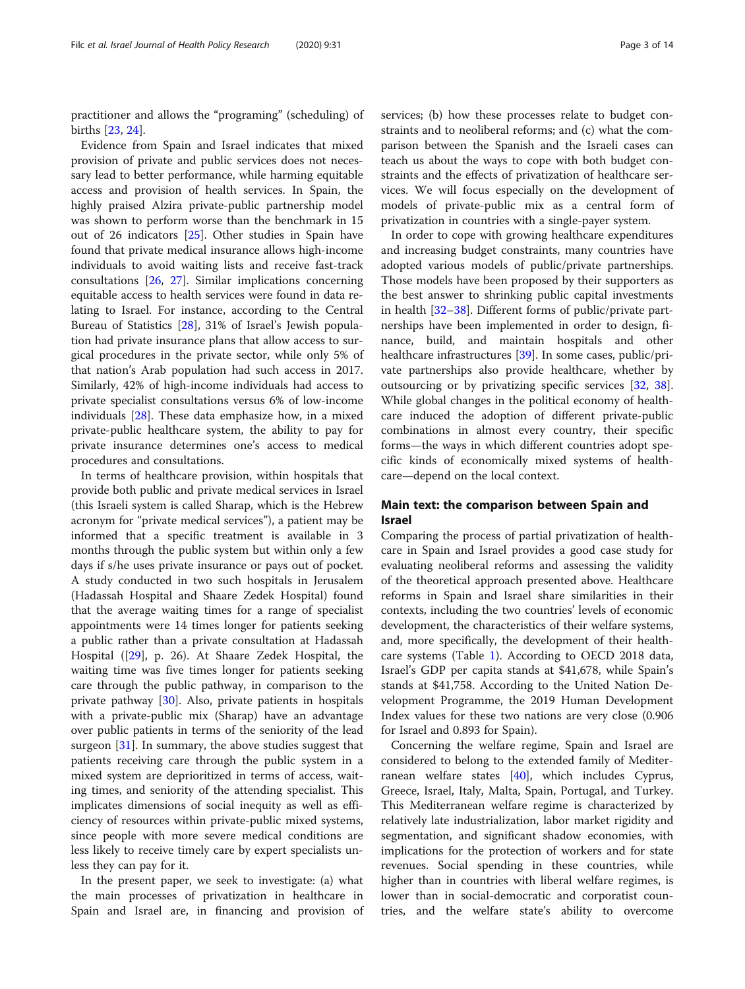practitioner and allows the "programing" (scheduling) of births [\[23](#page-12-0), [24](#page-12-0)].

Evidence from Spain and Israel indicates that mixed provision of private and public services does not necessary lead to better performance, while harming equitable access and provision of health services. In Spain, the highly praised Alzira private-public partnership model was shown to perform worse than the benchmark in 15 out of 26 indicators [\[25](#page-12-0)]. Other studies in Spain have found that private medical insurance allows high-income individuals to avoid waiting lists and receive fast-track consultations [\[26,](#page-12-0) [27\]](#page-12-0). Similar implications concerning equitable access to health services were found in data relating to Israel. For instance, according to the Central Bureau of Statistics [\[28\]](#page-12-0), 31% of Israel's Jewish population had private insurance plans that allow access to surgical procedures in the private sector, while only 5% of that nation's Arab population had such access in 2017. Similarly, 42% of high-income individuals had access to private specialist consultations versus 6% of low-income individuals [[28\]](#page-12-0). These data emphasize how, in a mixed private-public healthcare system, the ability to pay for private insurance determines one's access to medical procedures and consultations.

In terms of healthcare provision, within hospitals that provide both public and private medical services in Israel (this Israeli system is called Sharap, which is the Hebrew acronym for "private medical services"), a patient may be informed that a specific treatment is available in 3 months through the public system but within only a few days if s/he uses private insurance or pays out of pocket. A study conducted in two such hospitals in Jerusalem (Hadassah Hospital and Shaare Zedek Hospital) found that the average waiting times for a range of specialist appointments were 14 times longer for patients seeking a public rather than a private consultation at Hadassah Hospital ([[29\]](#page-12-0), p. 26). At Shaare Zedek Hospital, the waiting time was five times longer for patients seeking care through the public pathway, in comparison to the private pathway [[30\]](#page-12-0). Also, private patients in hospitals with a private-public mix (Sharap) have an advantage over public patients in terms of the seniority of the lead surgeon [\[31](#page-12-0)]. In summary, the above studies suggest that patients receiving care through the public system in a mixed system are deprioritized in terms of access, waiting times, and seniority of the attending specialist. This implicates dimensions of social inequity as well as efficiency of resources within private-public mixed systems, since people with more severe medical conditions are less likely to receive timely care by expert specialists unless they can pay for it.

In the present paper, we seek to investigate: (a) what the main processes of privatization in healthcare in Spain and Israel are, in financing and provision of services; (b) how these processes relate to budget constraints and to neoliberal reforms; and (c) what the comparison between the Spanish and the Israeli cases can teach us about the ways to cope with both budget constraints and the effects of privatization of healthcare services. We will focus especially on the development of models of private-public mix as a central form of privatization in countries with a single-payer system.

In order to cope with growing healthcare expenditures and increasing budget constraints, many countries have adopted various models of public/private partnerships. Those models have been proposed by their supporters as the best answer to shrinking public capital investments in health [\[32](#page-12-0)–[38\]](#page-12-0). Different forms of public/private partnerships have been implemented in order to design, finance, build, and maintain hospitals and other healthcare infrastructures [\[39](#page-12-0)]. In some cases, public/private partnerships also provide healthcare, whether by outsourcing or by privatizing specific services [[32,](#page-12-0) [38](#page-12-0)]. While global changes in the political economy of healthcare induced the adoption of different private-public combinations in almost every country, their specific forms—the ways in which different countries adopt specific kinds of economically mixed systems of healthcare—depend on the local context.

#### Main text: the comparison between Spain and Israel

Comparing the process of partial privatization of healthcare in Spain and Israel provides a good case study for evaluating neoliberal reforms and assessing the validity of the theoretical approach presented above. Healthcare reforms in Spain and Israel share similarities in their contexts, including the two countries' levels of economic development, the characteristics of their welfare systems, and, more specifically, the development of their healthcare systems (Table [1](#page-3-0)). According to OECD 2018 data, Israel's GDP per capita stands at \$41,678, while Spain's stands at \$41,758. According to the United Nation Development Programme, the 2019 Human Development Index values for these two nations are very close (0.906 for Israel and 0.893 for Spain).

Concerning the welfare regime, Spain and Israel are considered to belong to the extended family of Mediterranean welfare states [[40\]](#page-12-0), which includes Cyprus, Greece, Israel, Italy, Malta, Spain, Portugal, and Turkey. This Mediterranean welfare regime is characterized by relatively late industrialization, labor market rigidity and segmentation, and significant shadow economies, with implications for the protection of workers and for state revenues. Social spending in these countries, while higher than in countries with liberal welfare regimes, is lower than in social-democratic and corporatist countries, and the welfare state's ability to overcome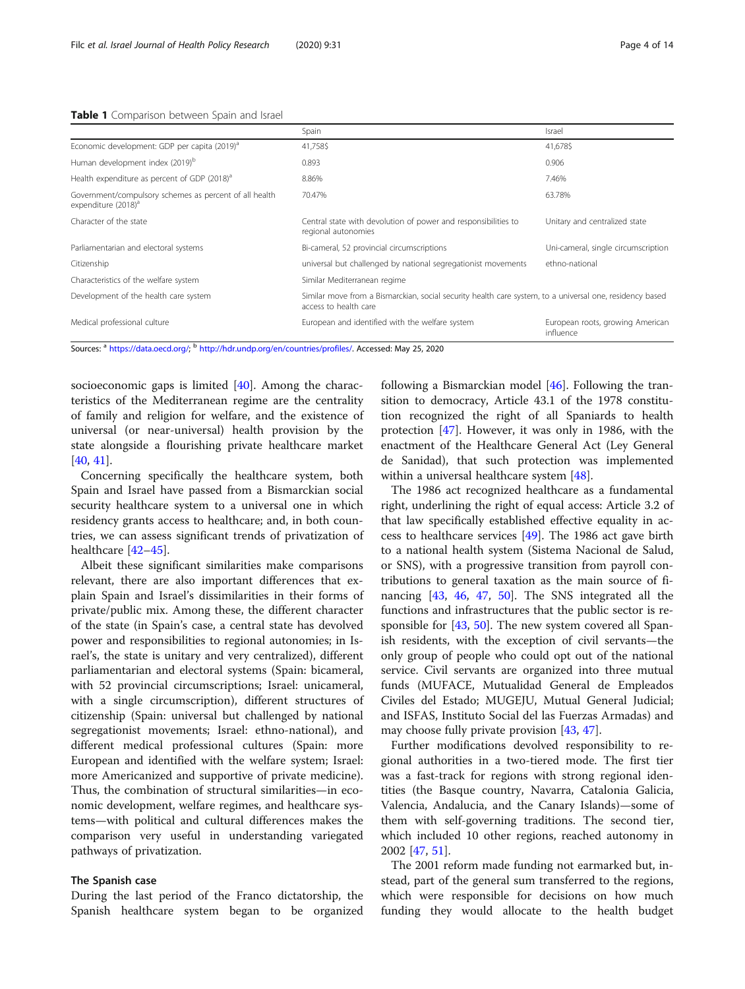<span id="page-3-0"></span>Table 1 Comparison between Spain and Israel

|                                                                                           | Spain                                                                                                                             | Israel                                        |
|-------------------------------------------------------------------------------------------|-----------------------------------------------------------------------------------------------------------------------------------|-----------------------------------------------|
| Economic development: GDP per capita (2019) <sup>a</sup>                                  | 41,758\$                                                                                                                          | 41,678\$                                      |
| Human development index (2019) <sup>b</sup>                                               | 0.893                                                                                                                             | 0.906                                         |
| Health expenditure as percent of GDP (2018) <sup>a</sup>                                  | 8.86%                                                                                                                             | 7.46%                                         |
| Government/compulsory schemes as percent of all health<br>expenditure (2018) <sup>a</sup> | 70.47%                                                                                                                            | 63.78%                                        |
| Character of the state                                                                    | Central state with devolution of power and responsibilities to<br>regional autonomies                                             | Unitary and centralized state                 |
| Parliamentarian and electoral systems                                                     | Bi-cameral, 52 provincial circumscriptions                                                                                        | Uni-cameral, single circumscription           |
| Citizenship                                                                               | universal but challenged by national segregationist movements                                                                     | ethno-national                                |
| Characteristics of the welfare system                                                     | Similar Mediterranean regime                                                                                                      |                                               |
| Development of the health care system                                                     | Similar move from a Bismarckian, social security health care system, to a universal one, residency based<br>access to health care |                                               |
| Medical professional culture                                                              | European and identified with the welfare system                                                                                   | European roots, growing American<br>influence |

Sources: <sup>a</sup> <https://data.oecd.org/>; <sup>b</sup> [http://hdr.undp.org/en/countries/profiles/.](http://hdr.undp.org/en/countries/profiles/) Accessed: May 25, 2020

socioeconomic gaps is limited [[40\]](#page-12-0). Among the characteristics of the Mediterranean regime are the centrality of family and religion for welfare, and the existence of universal (or near-universal) health provision by the state alongside a flourishing private healthcare market [[40,](#page-12-0) [41\]](#page-12-0).

Concerning specifically the healthcare system, both Spain and Israel have passed from a Bismarckian social security healthcare system to a universal one in which residency grants access to healthcare; and, in both countries, we can assess significant trends of privatization of healthcare [[42](#page-12-0)–[45](#page-12-0)].

Albeit these significant similarities make comparisons relevant, there are also important differences that explain Spain and Israel's dissimilarities in their forms of private/public mix. Among these, the different character of the state (in Spain's case, a central state has devolved power and responsibilities to regional autonomies; in Israel's, the state is unitary and very centralized), different parliamentarian and electoral systems (Spain: bicameral, with 52 provincial circumscriptions; Israel: unicameral, with a single circumscription), different structures of citizenship (Spain: universal but challenged by national segregationist movements; Israel: ethno-national), and different medical professional cultures (Spain: more European and identified with the welfare system; Israel: more Americanized and supportive of private medicine). Thus, the combination of structural similarities—in economic development, welfare regimes, and healthcare systems—with political and cultural differences makes the comparison very useful in understanding variegated pathways of privatization.

#### The Spanish case

During the last period of the Franco dictatorship, the Spanish healthcare system began to be organized following a Bismarckian model [[46\]](#page-12-0). Following the transition to democracy, Article 43.1 of the 1978 constitution recognized the right of all Spaniards to health protection [\[47\]](#page-12-0). However, it was only in 1986, with the enactment of the Healthcare General Act (Ley General de Sanidad), that such protection was implemented within a universal healthcare system [\[48](#page-12-0)].

The 1986 act recognized healthcare as a fundamental right, underlining the right of equal access: Article 3.2 of that law specifically established effective equality in access to healthcare services [\[49\]](#page-12-0). The 1986 act gave birth to a national health system (Sistema Nacional de Salud, or SNS), with a progressive transition from payroll contributions to general taxation as the main source of financing [[43,](#page-12-0) [46](#page-12-0), [47,](#page-12-0) [50](#page-12-0)]. The SNS integrated all the functions and infrastructures that the public sector is responsible for [[43,](#page-12-0) [50\]](#page-12-0). The new system covered all Spanish residents, with the exception of civil servants—the only group of people who could opt out of the national service. Civil servants are organized into three mutual funds (MUFACE, Mutualidad General de Empleados Civiles del Estado; MUGEJU, Mutual General Judicial; and ISFAS, Instituto Social del las Fuerzas Armadas) and may choose fully private provision [\[43](#page-12-0), [47\]](#page-12-0).

Further modifications devolved responsibility to regional authorities in a two-tiered mode. The first tier was a fast-track for regions with strong regional identities (the Basque country, Navarra, Catalonia Galicia, Valencia, Andalucia, and the Canary Islands)—some of them with self-governing traditions. The second tier, which included 10 other regions, reached autonomy in 2002 [\[47](#page-12-0), [51](#page-12-0)].

The 2001 reform made funding not earmarked but, instead, part of the general sum transferred to the regions, which were responsible for decisions on how much funding they would allocate to the health budget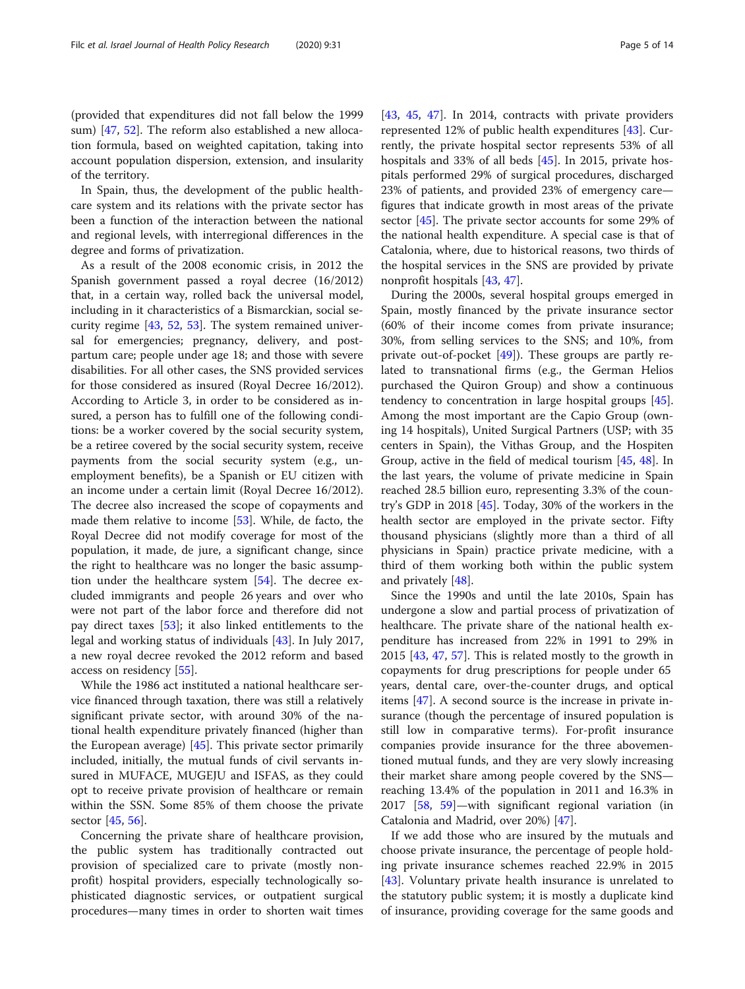(provided that expenditures did not fall below the 1999 sum) [[47](#page-12-0), [52\]](#page-12-0). The reform also established a new allocation formula, based on weighted capitation, taking into account population dispersion, extension, and insularity of the territory.

In Spain, thus, the development of the public healthcare system and its relations with the private sector has been a function of the interaction between the national and regional levels, with interregional differences in the degree and forms of privatization.

As a result of the 2008 economic crisis, in 2012 the Spanish government passed a royal decree (16/2012) that, in a certain way, rolled back the universal model, including in it characteristics of a Bismarckian, social security regime [\[43](#page-12-0), [52,](#page-12-0) [53](#page-12-0)]. The system remained universal for emergencies; pregnancy, delivery, and postpartum care; people under age 18; and those with severe disabilities. For all other cases, the SNS provided services for those considered as insured (Royal Decree 16/2012). According to Article 3, in order to be considered as insured, a person has to fulfill one of the following conditions: be a worker covered by the social security system, be a retiree covered by the social security system, receive payments from the social security system (e.g., unemployment benefits), be a Spanish or EU citizen with an income under a certain limit (Royal Decree 16/2012). The decree also increased the scope of copayments and made them relative to income [\[53](#page-12-0)]. While, de facto, the Royal Decree did not modify coverage for most of the population, it made, de jure, a significant change, since the right to healthcare was no longer the basic assumption under the healthcare system [[54\]](#page-12-0). The decree excluded immigrants and people 26 years and over who were not part of the labor force and therefore did not pay direct taxes [[53\]](#page-12-0); it also linked entitlements to the legal and working status of individuals [[43](#page-12-0)]. In July 2017, a new royal decree revoked the 2012 reform and based access on residency [[55](#page-12-0)].

While the 1986 act instituted a national healthcare service financed through taxation, there was still a relatively significant private sector, with around 30% of the national health expenditure privately financed (higher than the European average) [[45\]](#page-12-0). This private sector primarily included, initially, the mutual funds of civil servants insured in MUFACE, MUGEJU and ISFAS, as they could opt to receive private provision of healthcare or remain within the SSN. Some 85% of them choose the private sector [\[45](#page-12-0), [56](#page-12-0)].

Concerning the private share of healthcare provision, the public system has traditionally contracted out provision of specialized care to private (mostly nonprofit) hospital providers, especially technologically sophisticated diagnostic services, or outpatient surgical procedures—many times in order to shorten wait times [[43,](#page-12-0) [45,](#page-12-0) [47\]](#page-12-0). In 2014, contracts with private providers represented 12% of public health expenditures [\[43\]](#page-12-0). Currently, the private hospital sector represents 53% of all hospitals and 33% of all beds [[45\]](#page-12-0). In 2015, private hospitals performed 29% of surgical procedures, discharged 23% of patients, and provided 23% of emergency care figures that indicate growth in most areas of the private sector [[45](#page-12-0)]. The private sector accounts for some 29% of the national health expenditure. A special case is that of Catalonia, where, due to historical reasons, two thirds of the hospital services in the SNS are provided by private nonprofit hospitals [\[43](#page-12-0), [47\]](#page-12-0).

During the 2000s, several hospital groups emerged in Spain, mostly financed by the private insurance sector (60% of their income comes from private insurance; 30%, from selling services to the SNS; and 10%, from private out-of-pocket  $[49]$  $[49]$ ). These groups are partly related to transnational firms (e.g., the German Helios purchased the Quiron Group) and show a continuous tendency to concentration in large hospital groups [\[45](#page-12-0)]. Among the most important are the Capio Group (owning 14 hospitals), United Surgical Partners (USP; with 35 centers in Spain), the Vithas Group, and the Hospiten Group, active in the field of medical tourism [\[45](#page-12-0), [48](#page-12-0)]. In the last years, the volume of private medicine in Spain reached 28.5 billion euro, representing 3.3% of the country's GDP in 2018 [\[45](#page-12-0)]. Today, 30% of the workers in the health sector are employed in the private sector. Fifty thousand physicians (slightly more than a third of all physicians in Spain) practice private medicine, with a third of them working both within the public system and privately [[48](#page-12-0)].

Since the 1990s and until the late 2010s, Spain has undergone a slow and partial process of privatization of healthcare. The private share of the national health expenditure has increased from 22% in 1991 to 29% in 2015 [[43](#page-12-0), [47,](#page-12-0) [57\]](#page-12-0). This is related mostly to the growth in copayments for drug prescriptions for people under 65 years, dental care, over-the-counter drugs, and optical items [\[47\]](#page-12-0). A second source is the increase in private insurance (though the percentage of insured population is still low in comparative terms). For-profit insurance companies provide insurance for the three abovementioned mutual funds, and they are very slowly increasing their market share among people covered by the SNS reaching 13.4% of the population in 2011 and 16.3% in 2017 [[58,](#page-12-0) [59\]](#page-12-0)—with significant regional variation (in Catalonia and Madrid, over 20%) [\[47\]](#page-12-0).

If we add those who are insured by the mutuals and choose private insurance, the percentage of people holding private insurance schemes reached 22.9% in 2015 [[43\]](#page-12-0). Voluntary private health insurance is unrelated to the statutory public system; it is mostly a duplicate kind of insurance, providing coverage for the same goods and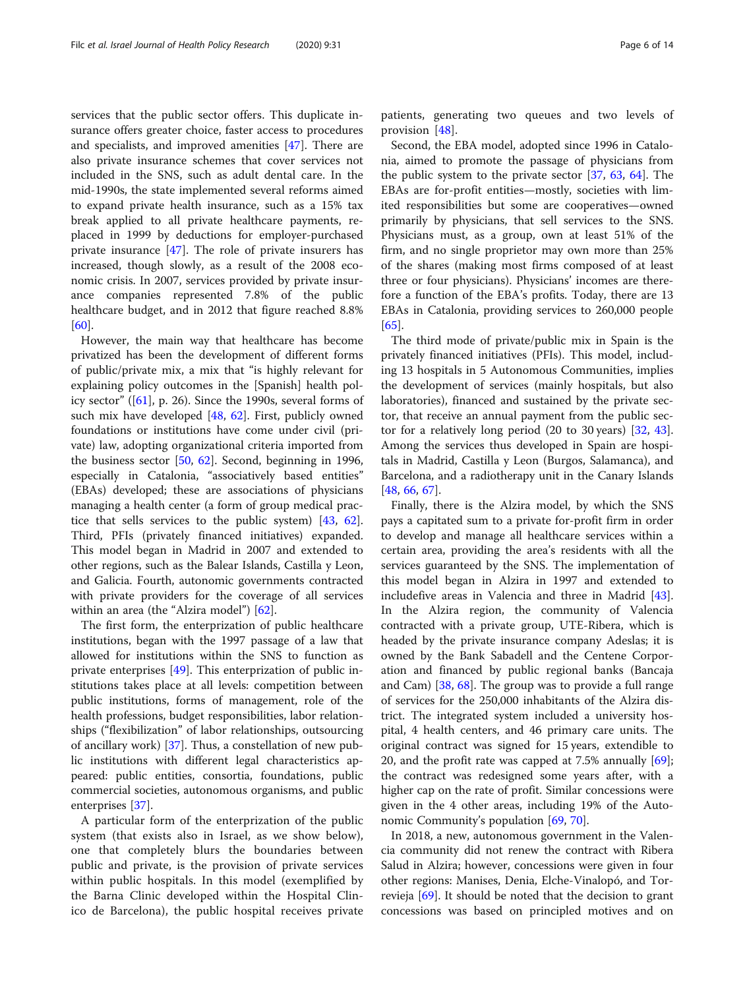services that the public sector offers. This duplicate insurance offers greater choice, faster access to procedures and specialists, and improved amenities [[47](#page-12-0)]. There are also private insurance schemes that cover services not included in the SNS, such as adult dental care. In the mid-1990s, the state implemented several reforms aimed to expand private health insurance, such as a 15% tax break applied to all private healthcare payments, replaced in 1999 by deductions for employer-purchased private insurance [[47\]](#page-12-0). The role of private insurers has increased, though slowly, as a result of the 2008 economic crisis. In 2007, services provided by private insurance companies represented 7.8% of the public healthcare budget, and in 2012 that figure reached 8.8% [[60\]](#page-12-0).

However, the main way that healthcare has become privatized has been the development of different forms of public/private mix, a mix that "is highly relevant for explaining policy outcomes in the [Spanish] health policy sector" ([[61](#page-12-0)], p. 26). Since the 1990s, several forms of such mix have developed [[48,](#page-12-0) [62](#page-12-0)]. First, publicly owned foundations or institutions have come under civil (private) law, adopting organizational criteria imported from the business sector [[50,](#page-12-0) [62](#page-12-0)]. Second, beginning in 1996, especially in Catalonia, "associatively based entities" (EBAs) developed; these are associations of physicians managing a health center (a form of group medical practice that sells services to the public system) [\[43,](#page-12-0) [62](#page-12-0)]. Third, PFIs (privately financed initiatives) expanded. This model began in Madrid in 2007 and extended to other regions, such as the Balear Islands, Castilla y Leon, and Galicia. Fourth, autonomic governments contracted with private providers for the coverage of all services within an area (the "Alzira model") [\[62](#page-12-0)].

The first form, the enterprization of public healthcare institutions, began with the 1997 passage of a law that allowed for institutions within the SNS to function as private enterprises [[49\]](#page-12-0). This enterprization of public institutions takes place at all levels: competition between public institutions, forms of management, role of the health professions, budget responsibilities, labor relationships ("flexibilization" of labor relationships, outsourcing of ancillary work) [[37](#page-12-0)]. Thus, a constellation of new public institutions with different legal characteristics appeared: public entities, consortia, foundations, public commercial societies, autonomous organisms, and public enterprises [\[37](#page-12-0)].

A particular form of the enterprization of the public system (that exists also in Israel, as we show below), one that completely blurs the boundaries between public and private, is the provision of private services within public hospitals. In this model (exemplified by the Barna Clinic developed within the Hospital Clinico de Barcelona), the public hospital receives private

patients, generating two queues and two levels of provision [[48\]](#page-12-0).

Second, the EBA model, adopted since 1996 in Catalonia, aimed to promote the passage of physicians from the public system to the private sector [\[37](#page-12-0), [63,](#page-12-0) [64](#page-12-0)]. The EBAs are for-profit entities—mostly, societies with limited responsibilities but some are cooperatives—owned primarily by physicians, that sell services to the SNS. Physicians must, as a group, own at least 51% of the firm, and no single proprietor may own more than 25% of the shares (making most firms composed of at least three or four physicians). Physicians' incomes are therefore a function of the EBA's profits. Today, there are 13 EBAs in Catalonia, providing services to 260,000 people [[65\]](#page-13-0).

The third mode of private/public mix in Spain is the privately financed initiatives (PFIs). This model, including 13 hospitals in 5 Autonomous Communities, implies the development of services (mainly hospitals, but also laboratories), financed and sustained by the private sector, that receive an annual payment from the public sector for a relatively long period  $(20 \text{ to } 30 \text{ years})$   $[32, 43]$  $[32, 43]$  $[32, 43]$  $[32, 43]$  $[32, 43]$ . Among the services thus developed in Spain are hospitals in Madrid, Castilla y Leon (Burgos, Salamanca), and Barcelona, and a radiotherapy unit in the Canary Islands [[48,](#page-12-0) [66,](#page-13-0) [67\]](#page-13-0).

Finally, there is the Alzira model, by which the SNS pays a capitated sum to a private for-profit firm in order to develop and manage all healthcare services within a certain area, providing the area's residents with all the services guaranteed by the SNS. The implementation of this model began in Alzira in 1997 and extended to includefive areas in Valencia and three in Madrid [\[43](#page-12-0)]. In the Alzira region, the community of Valencia contracted with a private group, UTE-Ribera, which is headed by the private insurance company Adeslas; it is owned by the Bank Sabadell and the Centene Corporation and financed by public regional banks (Bancaja and Cam) [\[38,](#page-12-0) [68\]](#page-13-0). The group was to provide a full range of services for the 250,000 inhabitants of the Alzira district. The integrated system included a university hospital, 4 health centers, and 46 primary care units. The original contract was signed for 15 years, extendible to 20, and the profit rate was capped at 7.5% annually  $[69]$  $[69]$ ; the contract was redesigned some years after, with a higher cap on the rate of profit. Similar concessions were given in the 4 other areas, including 19% of the Autonomic Community's population [\[69,](#page-13-0) [70\]](#page-13-0).

In 2018, a new, autonomous government in the Valencia community did not renew the contract with Ribera Salud in Alzira; however, concessions were given in four other regions: Manises, Denia, Elche-Vinalopó, and Torrevieja [\[69](#page-13-0)]. It should be noted that the decision to grant concessions was based on principled motives and on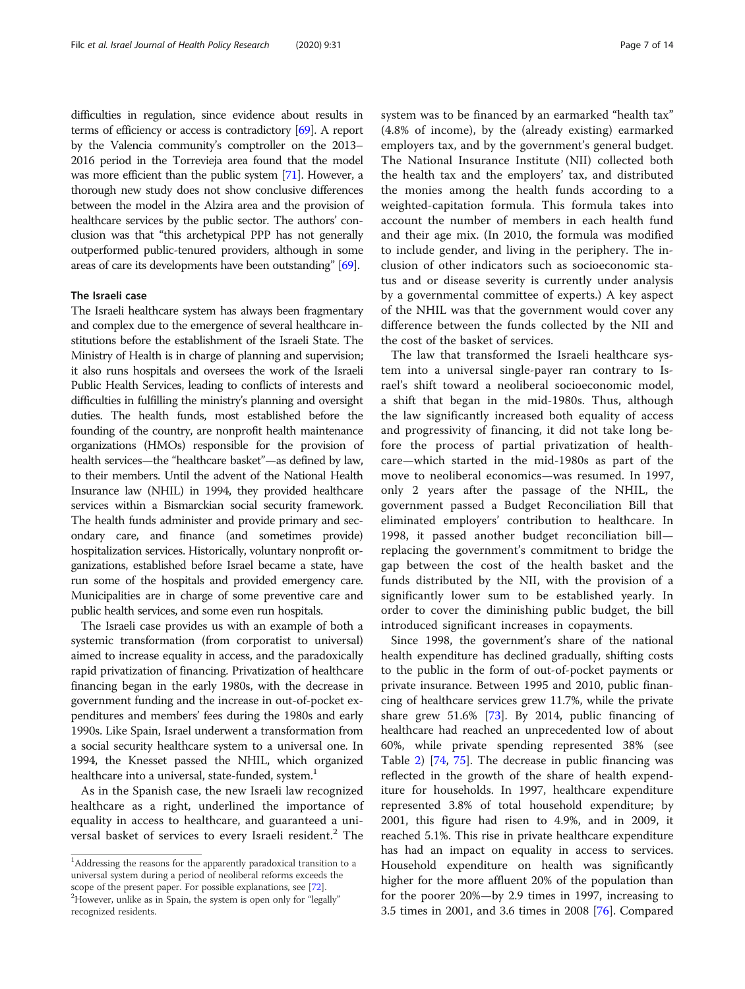difficulties in regulation, since evidence about results in terms of efficiency or access is contradictory [[69](#page-13-0)]. A report by the Valencia community's comptroller on the 2013– 2016 period in the Torrevieja area found that the model was more efficient than the public system [\[71\]](#page-13-0). However, a thorough new study does not show conclusive differences between the model in the Alzira area and the provision of healthcare services by the public sector. The authors' conclusion was that "this archetypical PPP has not generally outperformed public-tenured providers, although in some areas of care its developments have been outstanding" [\[69\]](#page-13-0).

#### The Israeli case

The Israeli healthcare system has always been fragmentary and complex due to the emergence of several healthcare institutions before the establishment of the Israeli State. The Ministry of Health is in charge of planning and supervision; it also runs hospitals and oversees the work of the Israeli Public Health Services, leading to conflicts of interests and difficulties in fulfilling the ministry's planning and oversight duties. The health funds, most established before the founding of the country, are nonprofit health maintenance organizations (HMOs) responsible for the provision of health services—the "healthcare basket"—as defined by law, to their members. Until the advent of the National Health Insurance law (NHIL) in 1994, they provided healthcare services within a Bismarckian social security framework. The health funds administer and provide primary and secondary care, and finance (and sometimes provide) hospitalization services. Historically, voluntary nonprofit organizations, established before Israel became a state, have run some of the hospitals and provided emergency care. Municipalities are in charge of some preventive care and public health services, and some even run hospitals.

The Israeli case provides us with an example of both a systemic transformation (from corporatist to universal) aimed to increase equality in access, and the paradoxically rapid privatization of financing. Privatization of healthcare financing began in the early 1980s, with the decrease in government funding and the increase in out-of-pocket expenditures and members' fees during the 1980s and early 1990s. Like Spain, Israel underwent a transformation from a social security healthcare system to a universal one. In 1994, the Knesset passed the NHIL, which organized healthcare into a universal, state-funded, system.<sup>1</sup>

As in the Spanish case, the new Israeli law recognized healthcare as a right, underlined the importance of equality in access to healthcare, and guaranteed a universal basket of services to every Israeli resident.<sup>2</sup> The system was to be financed by an earmarked "health tax" (4.8% of income), by the (already existing) earmarked employers tax, and by the government's general budget. The National Insurance Institute (NII) collected both the health tax and the employers' tax, and distributed the monies among the health funds according to a weighted-capitation formula. This formula takes into account the number of members in each health fund and their age mix. (In 2010, the formula was modified to include gender, and living in the periphery. The inclusion of other indicators such as socioeconomic status and or disease severity is currently under analysis by a governmental committee of experts.) A key aspect of the NHIL was that the government would cover any difference between the funds collected by the NII and the cost of the basket of services.

The law that transformed the Israeli healthcare system into a universal single-payer ran contrary to Israel's shift toward a neoliberal socioeconomic model, a shift that began in the mid-1980s. Thus, although the law significantly increased both equality of access and progressivity of financing, it did not take long before the process of partial privatization of healthcare—which started in the mid-1980s as part of the move to neoliberal economics—was resumed. In 1997, only 2 years after the passage of the NHIL, the government passed a Budget Reconciliation Bill that eliminated employers' contribution to healthcare. In 1998, it passed another budget reconciliation bill replacing the government's commitment to bridge the gap between the cost of the health basket and the funds distributed by the NII, with the provision of a significantly lower sum to be established yearly. In order to cover the diminishing public budget, the bill introduced significant increases in copayments.

Since 1998, the government's share of the national health expenditure has declined gradually, shifting costs to the public in the form of out-of-pocket payments or private insurance. Between 1995 and 2010, public financing of healthcare services grew 11.7%, while the private share grew 51.6% [[73\]](#page-13-0). By 2014, public financing of healthcare had reached an unprecedented low of about 60%, while private spending represented 38% (see Table [2\)](#page-7-0) [[74,](#page-13-0) [75\]](#page-13-0). The decrease in public financing was reflected in the growth of the share of health expenditure for households. In 1997, healthcare expenditure represented 3.8% of total household expenditure; by 2001, this figure had risen to 4.9%, and in 2009, it reached 5.1%. This rise in private healthcare expenditure has had an impact on equality in access to services. Household expenditure on health was significantly higher for the more affluent 20% of the population than for the poorer 20%—by 2.9 times in 1997, increasing to 3.5 times in 2001, and 3.6 times in 2008 [\[76](#page-13-0)]. Compared

 $1$ Addressing the reasons for the apparently paradoxical transition to a universal system during a period of neoliberal reforms exceeds the scope of the present paper. For possible explanations, see [\[72\]](#page-13-0). <sup>2</sup>However, unlike as in Spain, the system is open only for "legally"

recognized residents.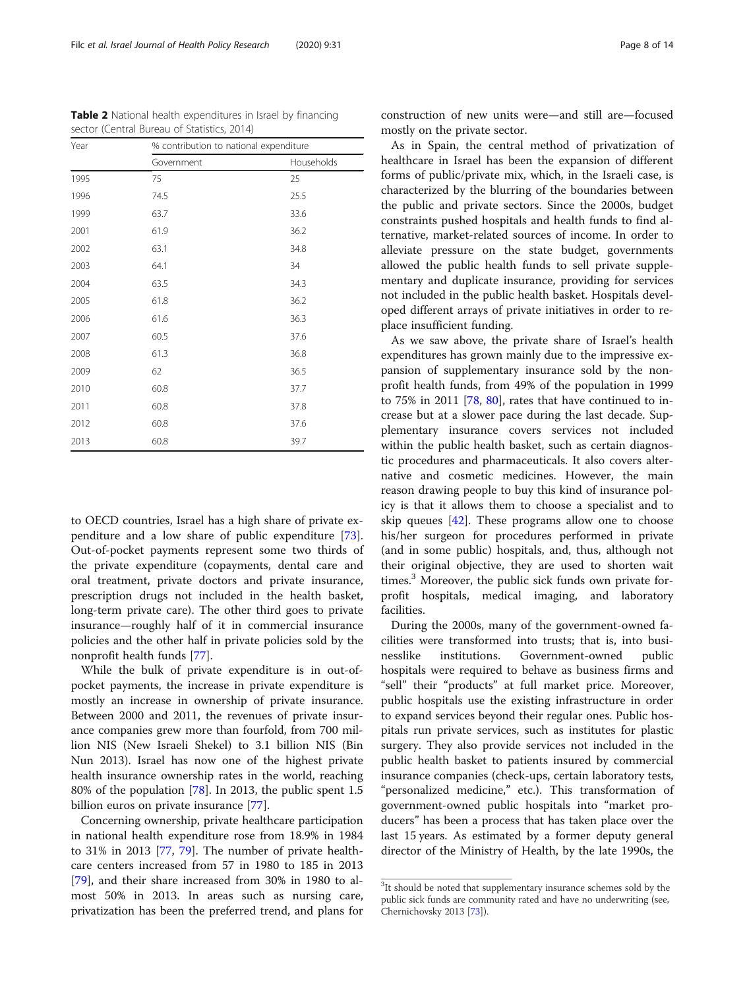to OECD countries, Israel has a high share of private expenditure and a low share of public expenditure [\[73](#page-13-0)]. Out-of-pocket payments represent some two thirds of the private expenditure (copayments, dental care and oral treatment, private doctors and private insurance, prescription drugs not included in the health basket, long-term private care). The other third goes to private insurance—roughly half of it in commercial insurance policies and the other half in private policies sold by the nonprofit health funds [[77\]](#page-13-0).

While the bulk of private expenditure is in out-ofpocket payments, the increase in private expenditure is mostly an increase in ownership of private insurance. Between 2000 and 2011, the revenues of private insurance companies grew more than fourfold, from 700 million NIS (New Israeli Shekel) to 3.1 billion NIS (Bin Nun 2013). Israel has now one of the highest private health insurance ownership rates in the world, reaching 80% of the population [\[78\]](#page-13-0). In 2013, the public spent 1.5 billion euros on private insurance [[77](#page-13-0)].

Concerning ownership, private healthcare participation in national health expenditure rose from 18.9% in 1984 to 31% in 2013 [[77](#page-13-0), [79](#page-13-0)]. The number of private healthcare centers increased from 57 in 1980 to 185 in 2013 [[79\]](#page-13-0), and their share increased from 30% in 1980 to almost 50% in 2013. In areas such as nursing care, privatization has been the preferred trend, and plans for

construction of new units were—and still are—focused mostly on the private sector.

As in Spain, the central method of privatization of healthcare in Israel has been the expansion of different forms of public/private mix, which, in the Israeli case, is characterized by the blurring of the boundaries between the public and private sectors. Since the 2000s, budget constraints pushed hospitals and health funds to find alternative, market-related sources of income. In order to alleviate pressure on the state budget, governments allowed the public health funds to sell private supplementary and duplicate insurance, providing for services not included in the public health basket. Hospitals developed different arrays of private initiatives in order to replace insufficient funding.

As we saw above, the private share of Israel's health expenditures has grown mainly due to the impressive expansion of supplementary insurance sold by the nonprofit health funds, from 49% of the population in 1999 to 75% in 2011 [[78](#page-13-0), [80\]](#page-13-0), rates that have continued to increase but at a slower pace during the last decade. Supplementary insurance covers services not included within the public health basket, such as certain diagnostic procedures and pharmaceuticals. It also covers alternative and cosmetic medicines. However, the main reason drawing people to buy this kind of insurance policy is that it allows them to choose a specialist and to skip queues  $[42]$  $[42]$ . These programs allow one to choose his/her surgeon for procedures performed in private (and in some public) hospitals, and, thus, although not their original objective, they are used to shorten wait times. $3$  Moreover, the public sick funds own private forprofit hospitals, medical imaging, and laboratory facilities.

During the 2000s, many of the government-owned facilities were transformed into trusts; that is, into businesslike institutions. Government-owned public hospitals were required to behave as business firms and "sell" their "products" at full market price. Moreover, public hospitals use the existing infrastructure in order to expand services beyond their regular ones. Public hospitals run private services, such as institutes for plastic surgery. They also provide services not included in the public health basket to patients insured by commercial insurance companies (check-ups, certain laboratory tests, "personalized medicine," etc.). This transformation of government-owned public hospitals into "market producers" has been a process that has taken place over the last 15 years. As estimated by a former deputy general director of the Ministry of Health, by the late 1990s, the

<span id="page-7-0"></span>

| <b>Table 2</b> National health expenditures in Israel by financing |
|--------------------------------------------------------------------|
| sector (Central Bureau of Statistics, 2014)                        |

| Year | % contribution to national expenditure |            |  |
|------|----------------------------------------|------------|--|
|      | Government                             | Households |  |
| 1995 | 75                                     | 25         |  |
| 1996 | 74.5                                   | 25.5       |  |
| 1999 | 63.7                                   | 33.6       |  |
| 2001 | 61.9                                   | 36.2       |  |
| 2002 | 63.1                                   | 34.8       |  |
| 2003 | 64.1                                   | 34         |  |
| 2004 | 63.5                                   | 34.3       |  |
| 2005 | 61.8                                   | 36.2       |  |
| 2006 | 61.6                                   | 36.3       |  |
| 2007 | 60.5                                   | 37.6       |  |
| 2008 | 61.3                                   | 36.8       |  |
| 2009 | 62                                     | 36.5       |  |
| 2010 | 60.8                                   | 37.7       |  |
| 2011 | 60.8                                   | 37.8       |  |
| 2012 | 60.8                                   | 37.6       |  |
| 2013 | 60.8                                   | 39.7       |  |

<sup>&</sup>lt;sup>3</sup>It should be noted that supplementary insurance schemes sold by the public sick funds are community rated and have no underwriting (see, Chernichovsky 2013 [\[73](#page-13-0)]).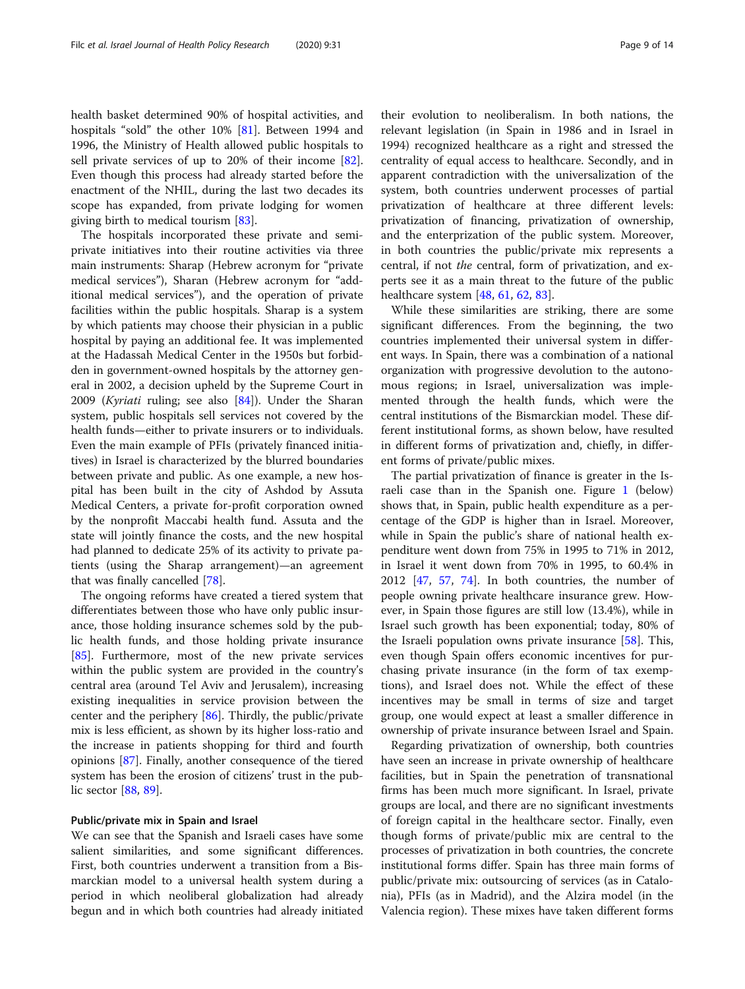health basket determined 90% of hospital activities, and hospitals "sold" the other 10% [[81\]](#page-13-0). Between 1994 and 1996, the Ministry of Health allowed public hospitals to sell private services of up to 20% of their income [\[82](#page-13-0)]. Even though this process had already started before the enactment of the NHIL, during the last two decades its scope has expanded, from private lodging for women giving birth to medical tourism [[83](#page-13-0)].

The hospitals incorporated these private and semiprivate initiatives into their routine activities via three main instruments: Sharap (Hebrew acronym for "private medical services"), Sharan (Hebrew acronym for "additional medical services"), and the operation of private facilities within the public hospitals. Sharap is a system by which patients may choose their physician in a public hospital by paying an additional fee. It was implemented at the Hadassah Medical Center in the 1950s but forbidden in government-owned hospitals by the attorney general in 2002, a decision upheld by the Supreme Court in 2009 (Kyriati ruling; see also [\[84](#page-13-0)]). Under the Sharan system, public hospitals sell services not covered by the health funds—either to private insurers or to individuals. Even the main example of PFIs (privately financed initiatives) in Israel is characterized by the blurred boundaries between private and public. As one example, a new hospital has been built in the city of Ashdod by Assuta Medical Centers, a private for-profit corporation owned by the nonprofit Maccabi health fund. Assuta and the state will jointly finance the costs, and the new hospital had planned to dedicate 25% of its activity to private patients (using the Sharap arrangement)—an agreement that was finally cancelled [\[78](#page-13-0)].

The ongoing reforms have created a tiered system that differentiates between those who have only public insurance, those holding insurance schemes sold by the public health funds, and those holding private insurance [[85\]](#page-13-0). Furthermore, most of the new private services within the public system are provided in the country's central area (around Tel Aviv and Jerusalem), increasing existing inequalities in service provision between the center and the periphery [\[86](#page-13-0)]. Thirdly, the public/private mix is less efficient, as shown by its higher loss-ratio and the increase in patients shopping for third and fourth opinions [\[87](#page-13-0)]. Finally, another consequence of the tiered system has been the erosion of citizens' trust in the public sector [[88,](#page-13-0) [89](#page-13-0)].

#### Public/private mix in Spain and Israel

We can see that the Spanish and Israeli cases have some salient similarities, and some significant differences. First, both countries underwent a transition from a Bismarckian model to a universal health system during a period in which neoliberal globalization had already begun and in which both countries had already initiated

their evolution to neoliberalism. In both nations, the relevant legislation (in Spain in 1986 and in Israel in 1994) recognized healthcare as a right and stressed the centrality of equal access to healthcare. Secondly, and in apparent contradiction with the universalization of the system, both countries underwent processes of partial privatization of healthcare at three different levels: privatization of financing, privatization of ownership, and the enterprization of the public system. Moreover, in both countries the public/private mix represents a central, if not the central, form of privatization, and ex-

healthcare system [[48](#page-12-0), [61](#page-12-0), [62](#page-12-0), [83](#page-13-0)]. While these similarities are striking, there are some significant differences. From the beginning, the two countries implemented their universal system in different ways. In Spain, there was a combination of a national organization with progressive devolution to the autonomous regions; in Israel, universalization was implemented through the health funds, which were the central institutions of the Bismarckian model. These different institutional forms, as shown below, have resulted in different forms of privatization and, chiefly, in different forms of private/public mixes.

perts see it as a main threat to the future of the public

The partial privatization of finance is greater in the Israeli case than in the Spanish one. Figure [1](#page-9-0) (below) shows that, in Spain, public health expenditure as a percentage of the GDP is higher than in Israel. Moreover, while in Spain the public's share of national health expenditure went down from 75% in 1995 to 71% in 2012, in Israel it went down from 70% in 1995, to 60.4% in 2012 [\[47](#page-12-0), [57,](#page-12-0) [74](#page-13-0)]. In both countries, the number of people owning private healthcare insurance grew. However, in Spain those figures are still low (13.4%), while in Israel such growth has been exponential; today, 80% of the Israeli population owns private insurance [[58](#page-12-0)]. This, even though Spain offers economic incentives for purchasing private insurance (in the form of tax exemptions), and Israel does not. While the effect of these incentives may be small in terms of size and target group, one would expect at least a smaller difference in ownership of private insurance between Israel and Spain.

Regarding privatization of ownership, both countries have seen an increase in private ownership of healthcare facilities, but in Spain the penetration of transnational firms has been much more significant. In Israel, private groups are local, and there are no significant investments of foreign capital in the healthcare sector. Finally, even though forms of private/public mix are central to the processes of privatization in both countries, the concrete institutional forms differ. Spain has three main forms of public/private mix: outsourcing of services (as in Catalonia), PFIs (as in Madrid), and the Alzira model (in the Valencia region). These mixes have taken different forms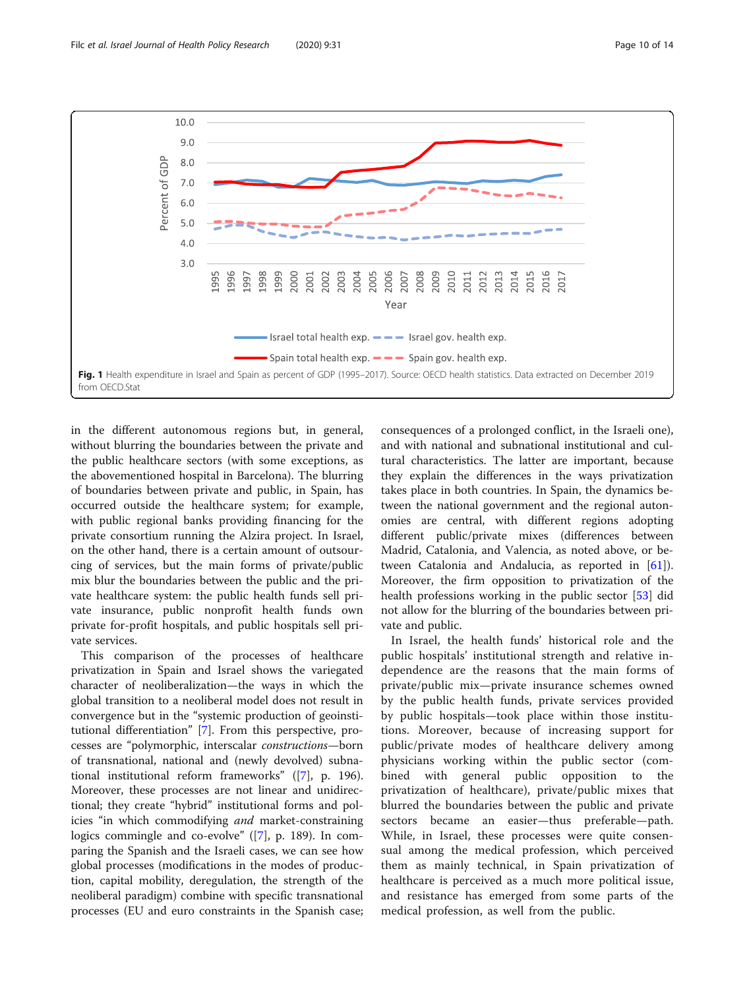<span id="page-9-0"></span>

in the different autonomous regions but, in general, without blurring the boundaries between the private and the public healthcare sectors (with some exceptions, as the abovementioned hospital in Barcelona). The blurring of boundaries between private and public, in Spain, has occurred outside the healthcare system; for example, with public regional banks providing financing for the private consortium running the Alzira project. In Israel, on the other hand, there is a certain amount of outsourcing of services, but the main forms of private/public mix blur the boundaries between the public and the private healthcare system: the public health funds sell private insurance, public nonprofit health funds own private for-profit hospitals, and public hospitals sell private services.

This comparison of the processes of healthcare privatization in Spain and Israel shows the variegated character of neoliberalization—the ways in which the global transition to a neoliberal model does not result in convergence but in the "systemic production of geoinstitutional differentiation" [\[7](#page-11-0)]. From this perspective, processes are "polymorphic, interscalar constructions—born of transnational, national and (newly devolved) subnational institutional reform frameworks" ([\[7](#page-11-0)], p. 196). Moreover, these processes are not linear and unidirectional; they create "hybrid" institutional forms and policies "in which commodifying and market-constraining logics commingle and co-evolve" ([[7\]](#page-11-0), p. 189). In comparing the Spanish and the Israeli cases, we can see how global processes (modifications in the modes of production, capital mobility, deregulation, the strength of the neoliberal paradigm) combine with specific transnational processes (EU and euro constraints in the Spanish case; consequences of a prolonged conflict, in the Israeli one), and with national and subnational institutional and cultural characteristics. The latter are important, because they explain the differences in the ways privatization takes place in both countries. In Spain, the dynamics between the national government and the regional autonomies are central, with different regions adopting different public/private mixes (differences between Madrid, Catalonia, and Valencia, as noted above, or between Catalonia and Andalucia, as reported in [\[61](#page-12-0)]). Moreover, the firm opposition to privatization of the health professions working in the public sector [[53\]](#page-12-0) did not allow for the blurring of the boundaries between private and public.

In Israel, the health funds' historical role and the public hospitals' institutional strength and relative independence are the reasons that the main forms of private/public mix—private insurance schemes owned by the public health funds, private services provided by public hospitals—took place within those institutions. Moreover, because of increasing support for public/private modes of healthcare delivery among physicians working within the public sector (combined with general public opposition to the privatization of healthcare), private/public mixes that blurred the boundaries between the public and private sectors became an easier—thus preferable—path. While, in Israel, these processes were quite consensual among the medical profession, which perceived them as mainly technical, in Spain privatization of healthcare is perceived as a much more political issue, and resistance has emerged from some parts of the medical profession, as well from the public.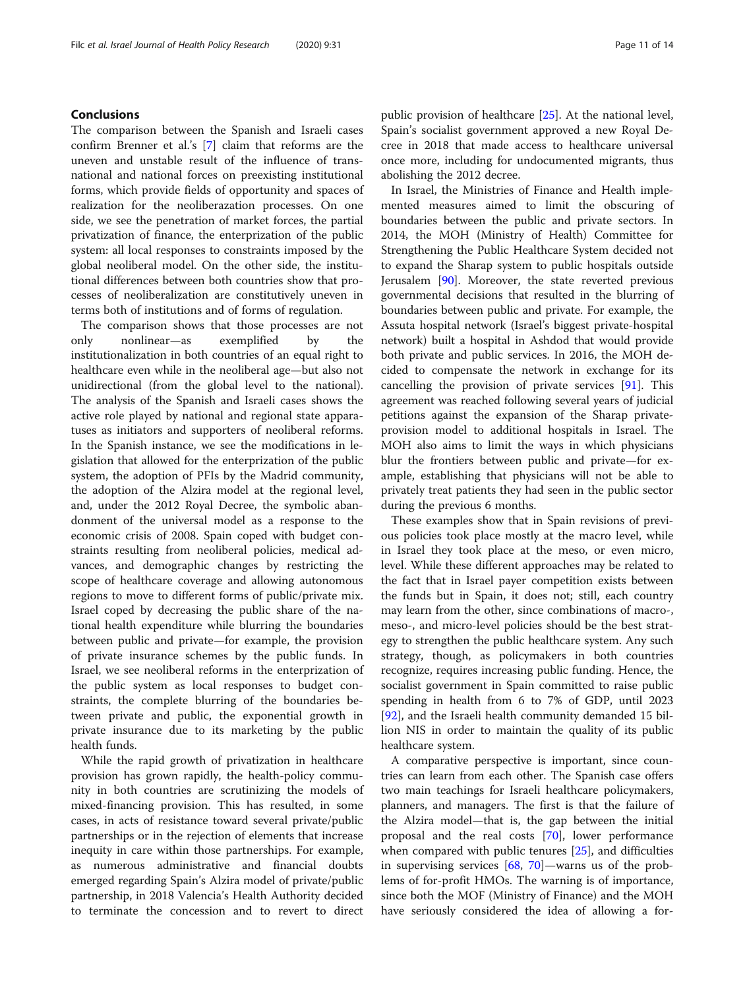#### Conclusions

The comparison between the Spanish and Israeli cases confirm Brenner et al.'s [\[7\]](#page-11-0) claim that reforms are the uneven and unstable result of the influence of transnational and national forces on preexisting institutional forms, which provide fields of opportunity and spaces of realization for the neoliberazation processes. On one side, we see the penetration of market forces, the partial privatization of finance, the enterprization of the public system: all local responses to constraints imposed by the global neoliberal model. On the other side, the institutional differences between both countries show that processes of neoliberalization are constitutively uneven in terms both of institutions and of forms of regulation.

The comparison shows that those processes are not only nonlinear—as exemplified by the institutionalization in both countries of an equal right to healthcare even while in the neoliberal age—but also not unidirectional (from the global level to the national). The analysis of the Spanish and Israeli cases shows the active role played by national and regional state apparatuses as initiators and supporters of neoliberal reforms. In the Spanish instance, we see the modifications in legislation that allowed for the enterprization of the public system, the adoption of PFIs by the Madrid community, the adoption of the Alzira model at the regional level, and, under the 2012 Royal Decree, the symbolic abandonment of the universal model as a response to the economic crisis of 2008. Spain coped with budget constraints resulting from neoliberal policies, medical advances, and demographic changes by restricting the scope of healthcare coverage and allowing autonomous regions to move to different forms of public/private mix. Israel coped by decreasing the public share of the national health expenditure while blurring the boundaries between public and private—for example, the provision of private insurance schemes by the public funds. In Israel, we see neoliberal reforms in the enterprization of the public system as local responses to budget constraints, the complete blurring of the boundaries between private and public, the exponential growth in private insurance due to its marketing by the public health funds.

While the rapid growth of privatization in healthcare provision has grown rapidly, the health-policy community in both countries are scrutinizing the models of mixed-financing provision. This has resulted, in some cases, in acts of resistance toward several private/public partnerships or in the rejection of elements that increase inequity in care within those partnerships. For example, as numerous administrative and financial doubts emerged regarding Spain's Alzira model of private/public partnership, in 2018 Valencia's Health Authority decided to terminate the concession and to revert to direct

public provision of healthcare [[25\]](#page-12-0). At the national level, Spain's socialist government approved a new Royal Decree in 2018 that made access to healthcare universal once more, including for undocumented migrants, thus abolishing the 2012 decree.

In Israel, the Ministries of Finance and Health implemented measures aimed to limit the obscuring of boundaries between the public and private sectors. In 2014, the MOH (Ministry of Health) Committee for Strengthening the Public Healthcare System decided not to expand the Sharap system to public hospitals outside Jerusalem [\[90](#page-13-0)]. Moreover, the state reverted previous governmental decisions that resulted in the blurring of boundaries between public and private. For example, the Assuta hospital network (Israel's biggest private-hospital network) built a hospital in Ashdod that would provide both private and public services. In 2016, the MOH decided to compensate the network in exchange for its cancelling the provision of private services [[91\]](#page-13-0). This agreement was reached following several years of judicial petitions against the expansion of the Sharap privateprovision model to additional hospitals in Israel. The MOH also aims to limit the ways in which physicians blur the frontiers between public and private—for example, establishing that physicians will not be able to privately treat patients they had seen in the public sector during the previous 6 months.

These examples show that in Spain revisions of previous policies took place mostly at the macro level, while in Israel they took place at the meso, or even micro, level. While these different approaches may be related to the fact that in Israel payer competition exists between the funds but in Spain, it does not; still, each country may learn from the other, since combinations of macro-, meso-, and micro-level policies should be the best strategy to strengthen the public healthcare system. Any such strategy, though, as policymakers in both countries recognize, requires increasing public funding. Hence, the socialist government in Spain committed to raise public spending in health from 6 to 7% of GDP, until 2023 [[92\]](#page-13-0), and the Israeli health community demanded 15 billion NIS in order to maintain the quality of its public healthcare system.

A comparative perspective is important, since countries can learn from each other. The Spanish case offers two main teachings for Israeli healthcare policymakers, planners, and managers. The first is that the failure of the Alzira model—that is, the gap between the initial proposal and the real costs [[70\]](#page-13-0), lower performance when compared with public tenures [[25\]](#page-12-0), and difficulties in supervising services [\[68](#page-13-0), [70](#page-13-0)]—warns us of the problems of for-profit HMOs. The warning is of importance, since both the MOF (Ministry of Finance) and the MOH have seriously considered the idea of allowing a for-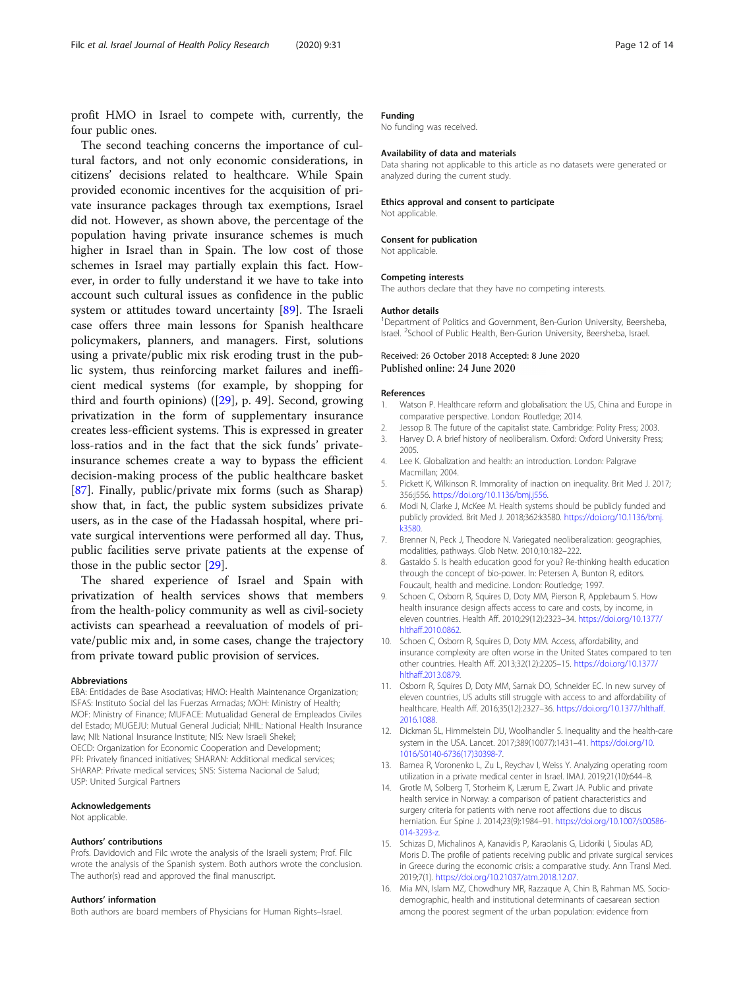<span id="page-11-0"></span>profit HMO in Israel to compete with, currently, the four public ones.

The second teaching concerns the importance of cultural factors, and not only economic considerations, in citizens' decisions related to healthcare. While Spain provided economic incentives for the acquisition of private insurance packages through tax exemptions, Israel did not. However, as shown above, the percentage of the population having private insurance schemes is much higher in Israel than in Spain. The low cost of those schemes in Israel may partially explain this fact. However, in order to fully understand it we have to take into account such cultural issues as confidence in the public system or attitudes toward uncertainty [\[89](#page-13-0)]. The Israeli case offers three main lessons for Spanish healthcare policymakers, planners, and managers. First, solutions using a private/public mix risk eroding trust in the public system, thus reinforcing market failures and inefficient medical systems (for example, by shopping for third and fourth opinions) ([[29\]](#page-12-0), p. 49]. Second, growing privatization in the form of supplementary insurance creates less-efficient systems. This is expressed in greater loss-ratios and in the fact that the sick funds' privateinsurance schemes create a way to bypass the efficient decision-making process of the public healthcare basket [[87\]](#page-13-0). Finally, public/private mix forms (such as Sharap) show that, in fact, the public system subsidizes private users, as in the case of the Hadassah hospital, where private surgical interventions were performed all day. Thus, public facilities serve private patients at the expense of those in the public sector [[29\]](#page-12-0).

The shared experience of Israel and Spain with privatization of health services shows that members from the health-policy community as well as civil-society activists can spearhead a reevaluation of models of private/public mix and, in some cases, change the trajectory from private toward public provision of services.

#### **Abbreviations**

EBA: Entidades de Base Asociativas; HMO: Health Maintenance Organization; ISFAS: Instituto Social del las Fuerzas Armadas; MOH: Ministry of Health; MOF: Ministry of Finance; MUFACE: Mutualidad General de Empleados Civiles del Estado; MUGEJU: Mutual General Judicial; NHIL: National Health Insurance law; NII: National Insurance Institute; NIS: New Israeli Shekel; OECD: Organization for Economic Cooperation and Development; PFI: Privately financed initiatives; SHARAN: Additional medical services; SHARAP: Private medical services; SNS: Sistema Nacional de Salud; USP: United Surgical Partners

#### Acknowledgements

Not applicable.

#### Authors' contributions

Profs. Davidovich and Filc wrote the analysis of the Israeli system; Prof. Filc wrote the analysis of the Spanish system. Both authors wrote the conclusion. The author(s) read and approved the final manuscript.

#### Authors' information

Both authors are board members of Physicians for Human Rights–Israel.

#### Funding

No funding was received.

#### Availability of data and materials

Data sharing not applicable to this article as no datasets were generated or analyzed during the current study.

#### Ethics approval and consent to participate

Not applicable.

#### Consent for publication

Not applicable.

#### Competing interests

The authors declare that they have no competing interests.

#### Author details

<sup>1</sup>Department of Politics and Government, Ben-Gurion University, Beersheba, Israel. <sup>2</sup>School of Public Health, Ben-Gurion University, Beersheba, Israel

#### Received: 26 October 2018 Accepted: 8 June 2020 Published online: 24 June 2020

#### References

- 1. Watson P. Healthcare reform and globalisation: the US, China and Europe in comparative perspective. London: Routledge; 2014.
- 2. Jessop B. The future of the capitalist state. Cambridge: Polity Press; 2003.
- 3. Harvey D. A brief history of neoliberalism. Oxford: Oxford University Press; 2005.
- 4. Lee K. Globalization and health: an introduction. London: Palgrave Macmillan; 2004.
- 5. Pickett K, Wilkinson R. Immorality of inaction on inequality. Brit Med J. 2017; 356:j556. <https://doi.org/10.1136/bmj.j556>.
- 6. Modi N, Clarke J, McKee M. Health systems should be publicly funded and publicly provided. Brit Med J. 2018;362:k3580. [https://doi.org/10.1136/bmj.](https://doi.org/10.1136/bmj.k3580) [k3580](https://doi.org/10.1136/bmj.k3580).
- 7. Brenner N, Peck J, Theodore N. Variegated neoliberalization: geographies, modalities, pathways. Glob Netw. 2010;10:182–222.
- 8. Gastaldo S. Is health education good for you? Re-thinking health education through the concept of bio-power. In: Petersen A, Bunton R, editors. Foucault, health and medicine. London: Routledge; 1997.
- 9. Schoen C, Osborn R, Squires D, Doty MM, Pierson R, Applebaum S. How health insurance design affects access to care and costs, by income, in eleven countries. Health Aff. 2010;29(12):2323–34. [https://doi.org/10.1377/](https://doi.org/10.1377/hlthaff.2010.0862) [hlthaff.2010.0862](https://doi.org/10.1377/hlthaff.2010.0862).
- 10. Schoen C, Osborn R, Squires D, Doty MM. Access, affordability, and insurance complexity are often worse in the United States compared to ten other countries. Health Aff. 2013;32(12):2205–15. [https://doi.org/10.1377/](https://doi.org/10.1377/hlthaff.2013.0879) [hlthaff.2013.0879](https://doi.org/10.1377/hlthaff.2013.0879).
- 11. Osborn R, Squires D, Doty MM, Sarnak DO, Schneider EC. In new survey of eleven countries, US adults still struggle with access to and affordability of healthcare. Health Aff. 2016;35(12):2327–36. [https://doi.org/10.1377/hlthaff.](https://doi.org/10.1377/hlthaff.2016.1088) [2016.1088](https://doi.org/10.1377/hlthaff.2016.1088).
- 12. Dickman SL, Himmelstein DU, Woolhandler S. Inequality and the health-care system in the USA. Lancet. 2017;389(10077):1431–41. [https://doi.org/10.](https://doi.org/10.1016/S0140-6736(17)30398-7) [1016/S0140-6736\(17\)30398-7.](https://doi.org/10.1016/S0140-6736(17)30398-7)
- 13. Barnea R, Voronenko L, Zu L, Reychav I, Weiss Y. Analyzing operating room utilization in a private medical center in Israel. IMAJ. 2019;21(10):644–8.
- 14. Grotle M, Solberg T, Storheim K, Lærum E, Zwart JA. Public and private health service in Norway: a comparison of patient characteristics and surgery criteria for patients with nerve root affections due to discus herniation. Eur Spine J. 2014;23(9):1984–91. [https://doi.org/10.1007/s00586-](https://doi.org/10.1007/s00586-014-3293-z) [014-3293-z.](https://doi.org/10.1007/s00586-014-3293-z)
- 15. Schizas D, Michalinos A, Kanavidis P, Karaolanis G, Lidoriki I, Sioulas AD, Moris D. The profile of patients receiving public and private surgical services in Greece during the economic crisis: a comparative study. Ann Transl Med. 2019;7(1). <https://doi.org/10.21037/atm.2018.12.07>.
- 16. Mia MN, Islam MZ, Chowdhury MR, Razzaque A, Chin B, Rahman MS. Sociodemographic, health and institutional determinants of caesarean section among the poorest segment of the urban population: evidence from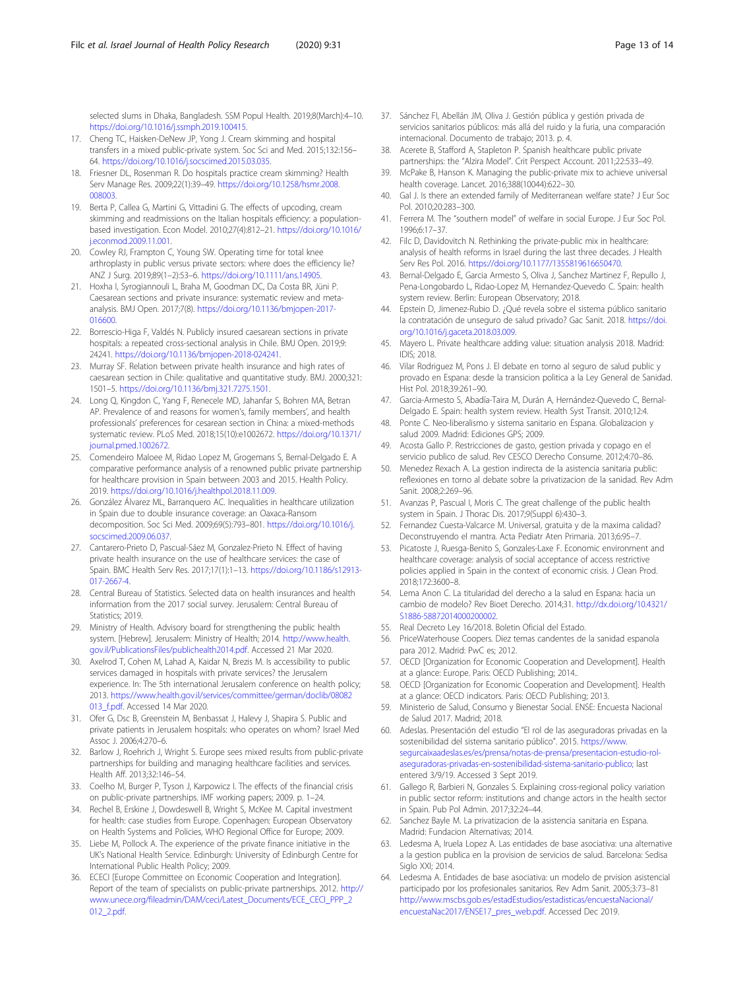<span id="page-12-0"></span>selected slums in Dhaka, Bangladesh. SSM Popul Health. 2019;8(March):4–10. [https://doi.org/10.1016/j.ssmph.2019.100415.](https://doi.org/10.1016/j.ssmph.2019.100415)

- 17. Cheng TC, Haisken-DeNew JP, Yong J. Cream skimming and hospital transfers in a mixed public-private system. Soc Sci and Med. 2015;132:156– 64. [https://doi.org/10.1016/j.socscimed.2015.03.035.](https://doi.org/10.1016/j.socscimed.2015.03.035)
- 18. Friesner DL, Rosenman R. Do hospitals practice cream skimming? Health Serv Manage Res. 2009;22(1):39–49. [https://doi.org/10.1258/hsmr.2008.](https://doi.org/10.1258/hsmr.2008.008003) [008003](https://doi.org/10.1258/hsmr.2008.008003).
- 19. Berta P, Callea G, Martini G, Vittadini G. The effects of upcoding, cream skimming and readmissions on the Italian hospitals efficiency: a populationbased investigation. Econ Model. 2010;27(4):812–21. [https://doi.org/10.1016/](https://doi.org/10.1016/j.econmod.2009.11.001) [j.econmod.2009.11.001](https://doi.org/10.1016/j.econmod.2009.11.001).
- 20. Cowley RJ, Frampton C, Young SW. Operating time for total knee arthroplasty in public versus private sectors: where does the efficiency lie? ANZ J Surg. 2019;89(1–2):53–6. <https://doi.org/10.1111/ans.14905>.
- 21. Hoxha I, Syrogiannouli L, Braha M, Goodman DC, Da Costa BR, Jüni P. Caesarean sections and private insurance: systematic review and metaanalysis. BMJ Open. 2017;7(8). [https://doi.org/10.1136/bmjopen-2017-](https://doi.org/10.1136/bmjopen-2017-016600) [016600](https://doi.org/10.1136/bmjopen-2017-016600).
- 22. Borrescio-Higa F, Valdés N. Publicly insured caesarean sections in private hospitals: a repeated cross-sectional analysis in Chile. BMJ Open. 2019;9: 24241. [https://doi.org/10.1136/bmjopen-2018-024241.](https://doi.org/10.1136/bmjopen-2018-024241)
- 23. Murray SF. Relation between private health insurance and high rates of caesarean section in Chile: qualitative and quantitative study. BMJ. 2000;321: 1501–5. <https://doi.org/10.1136/bmj.321.7275.1501>.
- 24. Long Q, Kingdon C, Yang F, Renecele MD, Jahanfar S, Bohren MA, Betran AP. Prevalence of and reasons for women's, family members', and health professionals' preferences for cesarean section in China: a mixed-methods systematic review. PLoS Med. 2018;15(10):e1002672. [https://doi.org/10.1371/](https://doi.org/10.1371/journal.pmed.1002672) [journal.pmed.1002672](https://doi.org/10.1371/journal.pmed.1002672).
- 25. Comendeiro Maloee M, Ridao Lopez M, Grogemans S, Bernal-Delgado E. A comparative performance analysis of a renowned public private partnership for healthcare provision in Spain between 2003 and 2015. Health Policy. 2019. [https://doi.org/10.1016/j.healthpol.2018.11.009.](https://doi.org/10.1016/j.healthpol.2018.11.009)
- 26. González Álvarez ML, Barranquero AC. Inequalities in healthcare utilization in Spain due to double insurance coverage: an Oaxaca-Ransom decomposition. Soc Sci Med. 2009;69(5):793–801. [https://doi.org/10.1016/j.](https://doi.org/10.1016/j.socscimed.2009.06.037) [socscimed.2009.06.037.](https://doi.org/10.1016/j.socscimed.2009.06.037)
- 27. Cantarero-Prieto D, Pascual-Sáez M, Gonzalez-Prieto N. Effect of having private health insurance on the use of healthcare services: the case of Spain. BMC Health Serv Res. 2017;17(1):1–13. [https://doi.org/10.1186/s12913-](https://doi.org/10.1186/s12913-017-2667-4) [017-2667-4](https://doi.org/10.1186/s12913-017-2667-4).
- 28. Central Bureau of Statistics. Selected data on health insurances and health information from the 2017 social survey. Jerusalem: Central Bureau of Statistics; 2019.
- 29. Ministry of Health. Advisory board for strengthening the public health system. [Hebrew]. Jerusalem: Ministry of Health; 2014. [http://www.health.](http://www.health.gov.il/PublicationsFiles/publichealth2014.pdf) [gov.il/PublicationsFiles/publichealth2014.pdf.](http://www.health.gov.il/PublicationsFiles/publichealth2014.pdf) Accessed 21 Mar 2020.
- 30. Axelrod T, Cohen M, Lahad A, Kaidar N, Brezis M. Is accessibility to public services damaged in hospitals with private services? the Jerusalem experience. In: The 5th international Jerusalem conference on health policy; 2013. [https://www.health.gov.il/services/committee/german/doclib/08082](https://www.health.gov.il/services/committee/german/doclib/08082013_f.pdf) 013 f.pdf. Accessed 14 Mar 2020.
- 31. Ofer G, Dsc B, Greenstein M, Benbassat J, Halevy J, Shapira S. Public and private patients in Jerusalem hospitals: who operates on whom? Israel Med Assoc J. 2006;4:270–6.
- 32. Barlow J, Roehrich J, Wright S. Europe sees mixed results from public-private partnerships for building and managing healthcare facilities and services. Health Aff. 2013;32:146–54.
- 33. Coelho M, Burger P, Tyson J, Karpowicz I. The effects of the financial crisis on public-private partnerships. IMF working papers; 2009. p. 1–24.
- 34. Rechel B, Erskine J, Dowdeswell B, Wright S, McKee M. Capital investment for health: case studies from Europe. Copenhagen: European Observatory on Health Systems and Policies, WHO Regional Office for Europe; 2009.
- 35. Liebe M, Pollock A. The experience of the private finance initiative in the UK's National Health Service. Edinburgh: University of Edinburgh Centre for International Public Health Policy; 2009.
- 36. ECECI [Europe Committee on Economic Cooperation and Integration]. Report of the team of specialists on public-private partnerships. 2012. [http://](http://www.unece.org/fileadmin/DAM/ceci/Latest_Documents/ECE_CECI_PPP_2012_2.pdf) [www.unece.org/fileadmin/DAM/ceci/Latest\\_Documents/ECE\\_CECI\\_PPP\\_2](http://www.unece.org/fileadmin/DAM/ceci/Latest_Documents/ECE_CECI_PPP_2012_2.pdf) [012\\_2.pdf.](http://www.unece.org/fileadmin/DAM/ceci/Latest_Documents/ECE_CECI_PPP_2012_2.pdf)
- 37. Sánchez FI, Abellán JM, Oliva J. Gestión pública y gestión privada de servicios sanitarios públicos: más allá del ruido y la furia, una comparación internacional. Documento de trabajo; 2013. p. 4.
- 38. Acerete B, Stafford A, Stapleton P. Spanish healthcare public private partnerships: the "Alzira Model". Crit Perspect Account. 2011;22:533–49.
- 39. McPake B, Hanson K. Managing the public-private mix to achieve universal health coverage. Lancet. 2016;388(10044):622–30.
- 40. Gal J. Is there an extended family of Mediterranean welfare state? J Eur Soc Pol. 2010;20:283–300.
- 41. Ferrera M. The "southern model" of welfare in social Europe. J Eur Soc Pol. 1996;6:17–37.
- 42. Filc D, Davidovitch N. Rethinking the private-public mix in healthcare: analysis of health reforms in Israel during the last three decades. J Health Serv Res Pol. 2016. <https://doi.org/10.1177/1355819616650470>.
- 43. Bernal-Delgado E, Garcia Armesto S, Oliva J, Sanchez Martinez F, Repullo J, Pena-Longobardo L, Ridao-Lopez M, Hernandez-Quevedo C. Spain: health system review. Berlin: European Observatory; 2018.
- 44. Epstein D, Jimenez-Rubio D. ¿Qué revela sobre el sistema público sanitario la contratación de unseguro de salud privado? Gac Sanit. 2018. [https://doi.](https://doi.org/10.1016/j.gaceta.2018.03.009) [org/10.1016/j.gaceta.2018.03.009.](https://doi.org/10.1016/j.gaceta.2018.03.009)
- 45. Mayero L. Private healthcare adding value: situation analysis 2018. Madrid: IDIS; 2018.
- 46. Vilar Rodriguez M, Pons J. El debate en torno al seguro de salud public y provado en Espana: desde la transicion politica a la Ley General de Sanidad. Hist Pol. 2018;39:261–90.
- 47. Garcia-Armesto S, Abadía-Taira M, Durán A, Hernández-Quevedo C, Bernal-Delgado E. Spain: health system review. Health Syst Transit. 2010;12:4.
- 48. Ponte C. Neo-liberalismo y sistema sanitario en Espana. Globalizacion y salud 2009. Madrid: Ediciones GPS; 2009.
- 49. Acosta Gallo P. Restricciones de gasto, gestion privada y copago en el servicio publico de salud. Rev CESCO Derecho Consume. 2012;4:70–86.
- 50. Menedez Rexach A. La gestion indirecta de la asistencia sanitaria public: reflexiones en torno al debate sobre la privatizacion de la sanidad. Rev Adm Sanit. 2008;2:269–96.
- 51. Avanzas P, Pascual I, Moris C. The great challenge of the public health system in Spain. J Thorac Dis. 2017;9(Suppl 6):430–3.
- 52. Fernandez Cuesta-Valcarce M. Universal, gratuita y de la maxima calidad? Deconstruyendo el mantra. Acta Pediatr Aten Primaria. 2013;6:95–7.
- 53. Picatoste J, Ruesga-Benito S, Gonzales-Laxe F. Economic environment and healthcare coverage: analysis of social acceptance of access restrictive policies applied in Spain in the context of economic crisis. J Clean Prod. 2018;172:3600–8.
- 54. Lema Anon C. La titularidad del derecho a la salud en Espana: hacia un cambio de modelo? Rev Bioet Derecho. 2014;31. [http://dx.doi.org/10.4321/](http://dx.doi.org/10.4321/S1886-58872014000200002) [S1886-58872014000200002.](http://dx.doi.org/10.4321/S1886-58872014000200002)
- 55. Real Decreto Ley 16/2018. Boletin Oficial del Estado.
- 56. PriceWaterhouse Coopers. Diez temas candentes de la sanidad espanola para 2012. Madrid: PwC es; 2012.
- 57. OECD [Organization for Economic Cooperation and Development]. Health at a glance: Europe. Paris: OECD Publishing; 2014..
- 58. OECD [Organization for Economic Cooperation and Development]. Health at a glance: OECD indicators. Paris: OECD Publishing; 2013.
- 59. Ministerio de Salud, Consumo y Bienestar Social. ENSE: Encuesta Nacional de Salud 2017. Madrid; 2018.
- 60. Adeslas. Presentación del estudio "El rol de las aseguradoras privadas en la sostenibilidad del sistema sanitario público". 2015. [https://www.](https://www.segurcaixaadeslas.es/es/prensa/notas-de-prensa/presentacion-estudio-rol-aseguradoras-privadas-en-sostenibilidad-sistema-sanitario-publico;) [segurcaixaadeslas.es/es/prensa/notas-de-prensa/presentacion-estudio-rol](https://www.segurcaixaadeslas.es/es/prensa/notas-de-prensa/presentacion-estudio-rol-aseguradoras-privadas-en-sostenibilidad-sistema-sanitario-publico;)[aseguradoras-privadas-en-sostenibilidad-sistema-sanitario-publico;](https://www.segurcaixaadeslas.es/es/prensa/notas-de-prensa/presentacion-estudio-rol-aseguradoras-privadas-en-sostenibilidad-sistema-sanitario-publico;) last entered 3/9/19. Accessed 3 Sept 2019.
- 61. Gallego R, Barbieri N, Gonzales S. Explaining cross-regional policy variation in public sector reform: institutions and change actors in the health sector in Spain. Pub Pol Admin. 2017;32:24–44.
- 62. Sanchez Bayle M. La privatizacion de la asistencia sanitaria en Espana. Madrid: Fundacion Alternativas; 2014.
- 63. Ledesma A, Iruela Lopez A. Las entidades de base asociativa: una alternative a la gestion publica en la provision de servicios de salud. Barcelona: Sedisa Siglo XXI; 2014.
- 64. Ledesma A. Entidades de base asociativa: un modelo de prvision asistencial participado por los profesionales sanitarios. Rev Adm Sanit. 2005;3:73–81 [http://www.mscbs.gob.es/estadEstudios/estadisticas/encuestaNacional/](http://www.mscbs.gob.es/estadEstudios/estadisticas/encuestaNacional/encuestaNac2017/ENSE17_pres_web.pdf) [encuestaNac2017/ENSE17\\_pres\\_web.pdf](http://www.mscbs.gob.es/estadEstudios/estadisticas/encuestaNacional/encuestaNac2017/ENSE17_pres_web.pdf). Accessed Dec 2019.